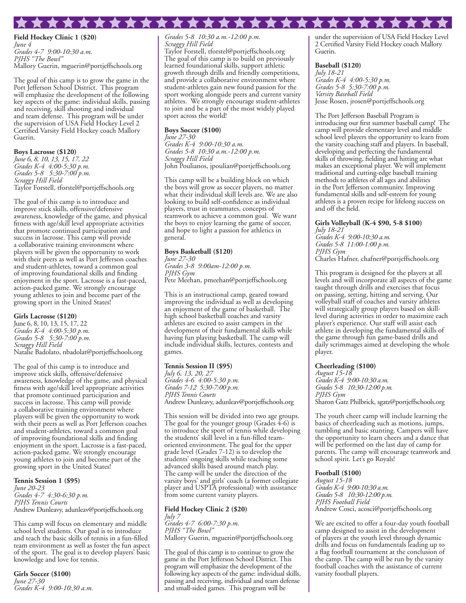**Field Hockey Clinic 1 (\$20)** *June 4 Grades 4-7 9:00-10:30 a.m. PJHS "The Bowl"* Mallory Guerin, mguerin@portjeffschools.org

The goal of this camp is to grow the game in the Port Jefferson School District. This program will emphasize the development of the following key aspects of the game: individual skills, passing and receiving, skill shooting and individual and team defense. This program will be under the supervision of USA Field Hockey Level 2 Certified Varsity Field Hockey coach Mallory Guerin.

\*\*\*\*\*\*\*\*\*\*\*\*\*\*

#### **Boys Lacrosse (\$120)**

*June 6, 8, 10, 13, 15, 17, 22 Grades K-4 4:00-5:30 p.m. Grades 5-8 5:30-7:00 p.m. Scraggy Hill Field* Taylor Forstell, tforstel@portjeffschools.org

The goal of this camp is to introduce and improve stick skills, offensive/defensive awareness, knowledge of the game, and physical fitness with age/skill level appropriate activities that promote continued participation and success in lacrosse. This camp will provide a collaborative training environment where players will be given the opportunity to work with their peers as well as Port Jefferson coaches and student-athletes, toward a common goal of improving foundational skills and finding enjoyment in the sport. Lacrosse is a fast-paced, action-packed game. We strongly encourage young athletes to join and become part of the growing sport in the United States!

#### **Girls Lacrosse (\$120)**

June 6, 8, 10, 13, 15, 17, 22 *Grades K-4 4:00-5:30 p.m. Grades 5-8 5:30-7:00 p.m. Scraggy Hill Field* Natalie Badolato, nbadolat@portjeffschools.org

The goal of this camp is to introduce and improve stick skills, offensive/defensive awareness, knowledge of the game, and physical fitness with age/skill level appropriate activities that promote continued participation and success in lacrosse. This camp will provide a collaborative training environment where players will be given the opportunity to work with their peers as well as Port Jefferson coaches and student-athletes, toward a common goal of improving foundational skills and finding enjoyment in the sport. Lacrosse is a fast-paced, action-packed game. We strongly encourage young athletes to join and become part of the growing sport in the United States!

#### **Tennis Session 1 (\$95)**

*June 20-23 Grades 4-7 4:30-6:30 p.m. PJHS Tennis Courts* Andrew Dunleavy, adunleav@portjeffschools.org

This camp will focus on elementary and middle school level students. Our goal is to introduce and teach the basic skills of tennis in a fun-filled team environment as well as foster the fun aspect of the sport. The goal is to develop players' basic knowledge and love for tennis.

**Girls Soccer (\$100)** *June 27-30 Grades K-4 9:00-10:30 a.m.* 

*Grades 5-8 10:30 a.m.-12:00 p.m. Scraggy Hill Field* Taylor Forstell, tforstel@portjeffschools.org The goal of this camp is to build on previously learned foundational skills, support athletic growth through drills and friendly competitions, and provide a collaborative environment where student-athletes gain new found passion for the sport working alongside peers and current varsity athletes. We strongly encourage student-athletes to join and be a part of the most widely played

# sport across the world! **Boys Soccer (\$100)**

*June 27-30 Grades K-4 9:00-10:30 a.m. Grades 5-8 10:30 a.m.-12:00 p.m. Scraggy Hill Field* John Poulianos, jpoulian@portjeffschools.org

This camp will be a building block on which the boys will grow as soccer players, no matter what their individual skill levels are. We are also looking to build self-confidence as individual players, trust in teammates, concepts of teamwork to achieve a common goal. We want the boys to enjoy learning the game of soccer, and hope to light a passion for athletics in general.

## **Boys Basketball (\$120)**

*June 27-30*

*Grades 3-8 9:00am-12:00 p.m. PJHS Gym* Pete Meehan, pmeehan@portjeffschools.org

This is an instructional camp, geared toward improving the individual as well as developing an enjoyment of the game of basketball. The high school basketball coaches and varsity athletes are excited to assist campers in the development of their fundamental skills while having fun playing basketball. The camp will include individual skills, lectures, contests and games.

#### **Tennis Session II (\$95)**

*July 6, 13, 20, 27 Grades 4-6 4:00-5:30 p.m. Grades 7-12 5:30-7:00 p.m. PJHS Tennis Courts* Andrew Dunleavy, adunleav@portjeffschools.org

This session will be divided into two age groups. The goal for the younger group (Grades 4-6) is to introduce the sport of tennis while developing the students' skill level in a fun-filled teamoriented environment. The goal for the upper grade level (Grades 7-12) is to develop the students' ongoing skills while teaching some advanced skills based around match play. The camp will be under the direction of the varsity boys' and girls' coach (a former collegiate player and USPTA professional) with assistance from some current varsity players.

#### **Field Hockey Clinic 2 (\$20)**

*July 7 Grades 4-7 6:00-7:30 p.m. PJHS "The Bowl"* Mallory Guerin, mguerin@portjeffschools.org

The goal of this camp is to continue to grow the game in the Port Jefferson School District. This program will emphasize the development of the following key aspects of the game: individual skills, passing and receiving, individual and team defense and small-sided games. This program will be

under the supervision of USA Field Hockey Level 2 Certified Varsity Field Hockey coach Mallory Guerin.

#### **Baseball (\$120)**

*July 18-21 Grades K-4 4:00-5:30 p.m. Grades 5-8 5:30-7:00 p.m. Varsity Baseball Field* Jesse Rosen, jrosen@portjeffschools.org

The Port Jefferson Baseball Program is introducing our first summer baseball camp! The camp will provide elementary level and middle school level players the opportunity to learn from the varsity coaching staff and players. In baseball, developing and perfecting the fundamental skills of throwing, fielding and hitting are what makes an exceptional player. We will implement traditional and cutting-edge baseball training methods to athletes of all ages and abilities in the Port Jefferson community. Improving fundamental skills and self-esteem for young athletes is a proven recipe for lifelong success on and off the field.

#### **Girls Volleyball (K-4 \$90, 5-8 \$100)**

*July 18-21 Grades K-4 9:00-10:30 a.m. Grades 5-8 11:00-1:00 p.m. PJHS Gym* Charles Hafner, chafner@portjeffschools.org

This program is designed for the players at all levels and will incorporate all aspects of the game taught through drills and exercises that focus on passing, setting, hitting and serving. Our volleyball staff of coaches and varsity athletes will strategically group players based on skilllevel during activities in order to maximize each player's experience. Our staff will assist each athlete in developing the fundamental skills of the game through fun game-based drills and daily scrimmages aimed at developing the whole player.

#### **Cheerleading (\$100)**

*August 15-18 Grades K-4 9:00-10:30 a.m. Grades 5-8 10:30-12:00 p.m. PJHS Gym* Sharon Gatz Philbrick, sgatz@portjeffschools.org

The youth cheer camp will include learning the basics of cheerleading such as motions, jumps, tumbling and basic stunting. Campers will have the opportunity to learn cheers and a dance that will be performed on the last day of camp for parents. The camp will encourage teamwork and school spirit. Let's go Royals!

### **Football (\$100)**

*August 15-18 Grades K-4 9:00-10:30 a.m. Grades 5-8 10:30-12:00 p.m. PJHS Football Field* Andrew Cosci, acosci@portjeffschools.org

We are excited to offer a four-day youth football camp designed to assist in the development of players at the youth level through dynamic drills and focus on fundamentals leading up to a flag football tournament at the conclusion of the camp. The camp will be run by the varsity football coaches with the assistance of current varsity football players.